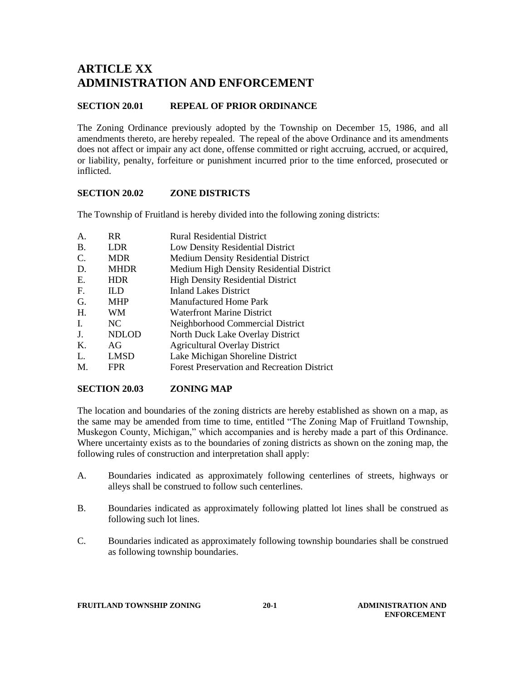# **ARTICLE XX ADMINISTRATION AND ENFORCEMENT**

# **SECTION 20.01 REPEAL OF PRIOR ORDINANCE**

The Zoning Ordinance previously adopted by the Township on December 15, 1986, and all amendments thereto, are hereby repealed. The repeal of the above Ordinance and its amendments does not affect or impair any act done, offense committed or right accruing, accrued, or acquired, or liability, penalty, forfeiture or punishment incurred prior to the time enforced, prosecuted or inflicted.

## **SECTION 20.02 ZONE DISTRICTS**

The Township of Fruitland is hereby divided into the following zoning districts:

| A.        | <b>RR</b>    | <b>Rural Residential District</b>                  |
|-----------|--------------|----------------------------------------------------|
| <b>B.</b> | <b>LDR</b>   | Low Density Residential District                   |
| C.        | <b>MDR</b>   | <b>Medium Density Residential District</b>         |
| D.        | <b>MHDR</b>  | Medium High Density Residential District           |
| Ε.        | <b>HDR</b>   | <b>High Density Residential District</b>           |
| F.        | IL D         | <b>Inland Lakes District</b>                       |
| G.        | <b>MHP</b>   | <b>Manufactured Home Park</b>                      |
| Η.        | <b>WM</b>    | Waterfront Marine District                         |
| L.        | NC.          | Neighborhood Commercial District                   |
| J.        | <b>NDLOD</b> | North Duck Lake Overlay District                   |
| Κ.        | AG           | <b>Agricultural Overlay District</b>               |
| L.        | <b>LMSD</b>  | Lake Michigan Shoreline District                   |
| M.        | <b>FPR</b>   | <b>Forest Preservation and Recreation District</b> |
|           |              |                                                    |

### **SECTION 20.03 ZONING MAP**

The location and boundaries of the zoning districts are hereby established as shown on a map, as the same may be amended from time to time, entitled "The Zoning Map of Fruitland Township, Muskegon County, Michigan," which accompanies and is hereby made a part of this Ordinance. Where uncertainty exists as to the boundaries of zoning districts as shown on the zoning map, the following rules of construction and interpretation shall apply:

- A. Boundaries indicated as approximately following centerlines of streets, highways or alleys shall be construed to follow such centerlines.
- B. Boundaries indicated as approximately following platted lot lines shall be construed as following such lot lines.
- C. Boundaries indicated as approximately following township boundaries shall be construed as following township boundaries.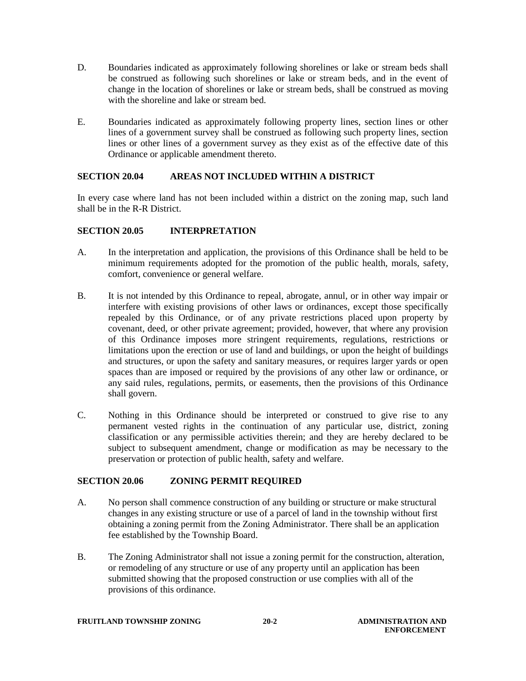- D. Boundaries indicated as approximately following shorelines or lake or stream beds shall be construed as following such shorelines or lake or stream beds, and in the event of change in the location of shorelines or lake or stream beds, shall be construed as moving with the shoreline and lake or stream bed.
- E. Boundaries indicated as approximately following property lines, section lines or other lines of a government survey shall be construed as following such property lines, section lines or other lines of a government survey as they exist as of the effective date of this Ordinance or applicable amendment thereto.

### **SECTION 20.04 AREAS NOT INCLUDED WITHIN A DISTRICT**

In every case where land has not been included within a district on the zoning map, such land shall be in the R-R District.

## **SECTION 20.05 INTERPRETATION**

- A. In the interpretation and application, the provisions of this Ordinance shall be held to be minimum requirements adopted for the promotion of the public health, morals, safety, comfort, convenience or general welfare.
- B. It is not intended by this Ordinance to repeal, abrogate, annul, or in other way impair or interfere with existing provisions of other laws or ordinances, except those specifically repealed by this Ordinance, or of any private restrictions placed upon property by covenant, deed, or other private agreement; provided, however, that where any provision of this Ordinance imposes more stringent requirements, regulations, restrictions or limitations upon the erection or use of land and buildings, or upon the height of buildings and structures, or upon the safety and sanitary measures, or requires larger yards or open spaces than are imposed or required by the provisions of any other law or ordinance, or any said rules, regulations, permits, or easements, then the provisions of this Ordinance shall govern.
- C. Nothing in this Ordinance should be interpreted or construed to give rise to any permanent vested rights in the continuation of any particular use, district, zoning classification or any permissible activities therein; and they are hereby declared to be subject to subsequent amendment, change or modification as may be necessary to the preservation or protection of public health, safety and welfare.

### **SECTION 20.06 ZONING PERMIT REQUIRED**

- A. No person shall commence construction of any building or structure or make structural changes in any existing structure or use of a parcel of land in the township without first obtaining a zoning permit from the Zoning Administrator. There shall be an application fee established by the Township Board.
- B. The Zoning Administrator shall not issue a zoning permit for the construction, alteration, or remodeling of any structure or use of any property until an application has been submitted showing that the proposed construction or use complies with all of the provisions of this ordinance.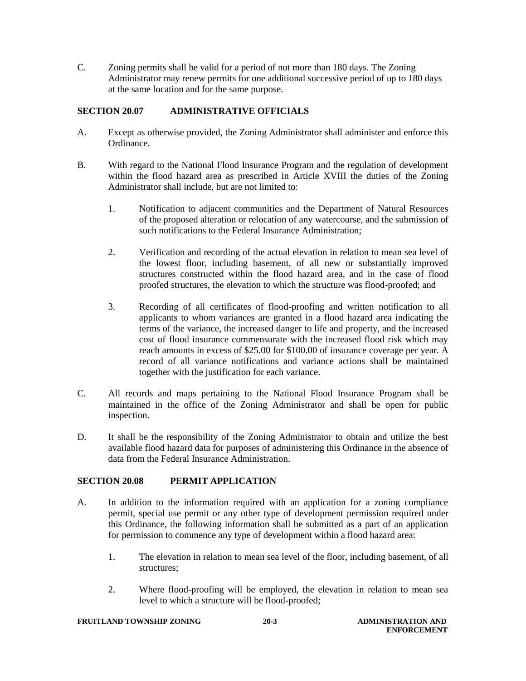C. Zoning permits shall be valid for a period of not more than 180 days. The Zoning Administrator may renew permits for one additional successive period of up to 180 days at the same location and for the same purpose.

# **SECTION 20.07 ADMINISTRATIVE OFFICIALS**

- A. Except as otherwise provided, the Zoning Administrator shall administer and enforce this Ordinance.
- B. With regard to the National Flood Insurance Program and the regulation of development within the flood hazard area as prescribed in Article XVIII the duties of the Zoning Administrator shall include, but are not limited to:
	- 1. Notification to adjacent communities and the Department of Natural Resources of the proposed alteration or relocation of any watercourse, and the submission of such notifications to the Federal Insurance Administration;
	- 2. Verification and recording of the actual elevation in relation to mean sea level of the lowest floor, including basement, of all new or substantially improved structures constructed within the flood hazard area, and in the case of flood proofed structures, the elevation to which the structure was flood-proofed; and
	- 3. Recording of all certificates of flood-proofing and written notification to all applicants to whom variances are granted in a flood hazard area indicating the terms of the variance, the increased danger to life and property, and the increased cost of flood insurance commensurate with the increased flood risk which may reach amounts in excess of \$25.00 for \$100.00 of insurance coverage per year. A record of all variance notifications and variance actions shall be maintained together with the justification for each variance.
- C. All records and maps pertaining to the National Flood Insurance Program shall be maintained in the office of the Zoning Administrator and shall be open for public inspection.
- D. It shall be the responsibility of the Zoning Administrator to obtain and utilize the best available flood hazard data for purposes of administering this Ordinance in the absence of data from the Federal Insurance Administration.

# **SECTION 20.08 PERMIT APPLICATION**

- A. In addition to the information required with an application for a zoning compliance permit, special use permit or any other type of development permission required under this Ordinance, the following information shall be submitted as a part of an application for permission to commence any type of development within a flood hazard area:
	- 1. The elevation in relation to mean sea level of the floor, including basement, of all structures;
	- 2. Where flood-proofing will be employed, the elevation in relation to mean sea level to which a structure will be flood-proofed;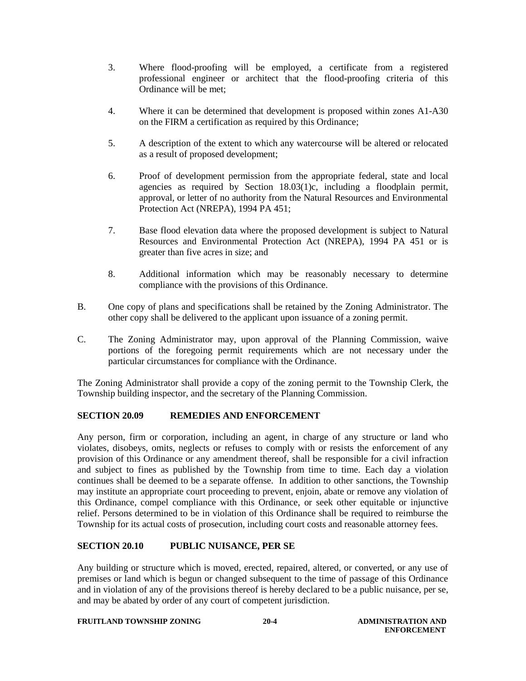- 3. Where flood-proofing will be employed, a certificate from a registered professional engineer or architect that the flood-proofing criteria of this Ordinance will be met;
- 4. Where it can be determined that development is proposed within zones A1-A30 on the FIRM a certification as required by this Ordinance;
- 5. A description of the extent to which any watercourse will be altered or relocated as a result of proposed development;
- 6. Proof of development permission from the appropriate federal, state and local agencies as required by Section 18.03(1)c, including a floodplain permit, approval, or letter of no authority from the Natural Resources and Environmental Protection Act (NREPA), 1994 PA 451;
- 7. Base flood elevation data where the proposed development is subject to Natural Resources and Environmental Protection Act (NREPA), 1994 PA 451 or is greater than five acres in size; and
- 8. Additional information which may be reasonably necessary to determine compliance with the provisions of this Ordinance.
- B. One copy of plans and specifications shall be retained by the Zoning Administrator. The other copy shall be delivered to the applicant upon issuance of a zoning permit.
- C. The Zoning Administrator may, upon approval of the Planning Commission, waive portions of the foregoing permit requirements which are not necessary under the particular circumstances for compliance with the Ordinance.

The Zoning Administrator shall provide a copy of the zoning permit to the Township Clerk, the Township building inspector, and the secretary of the Planning Commission.

### **SECTION 20.09 REMEDIES AND ENFORCEMENT**

Any person, firm or corporation, including an agent, in charge of any structure or land who violates, disobeys, omits, neglects or refuses to comply with or resists the enforcement of any provision of this Ordinance or any amendment thereof, shall be responsible for a civil infraction and subject to fines as published by the Township from time to time. Each day a violation continues shall be deemed to be a separate offense. In addition to other sanctions, the Township may institute an appropriate court proceeding to prevent, enjoin, abate or remove any violation of this Ordinance, compel compliance with this Ordinance, or seek other equitable or injunctive relief. Persons determined to be in violation of this Ordinance shall be required to reimburse the Township for its actual costs of prosecution, including court costs and reasonable attorney fees.

### **SECTION 20.10 PUBLIC NUISANCE, PER SE**

Any building or structure which is moved, erected, repaired, altered, or converted, or any use of premises or land which is begun or changed subsequent to the time of passage of this Ordinance and in violation of any of the provisions thereof is hereby declared to be a public nuisance, per se, and may be abated by order of any court of competent jurisdiction.

#### **FRUITLAND TOWNSHIP ZONING 20-4 ADMINISTRATION AND**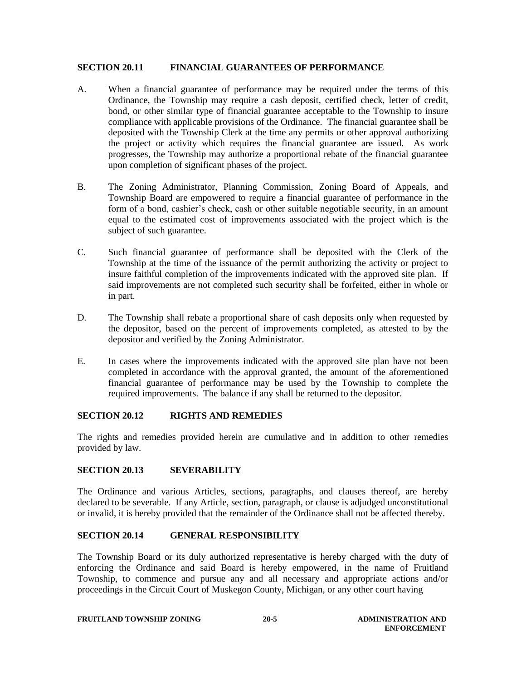#### **SECTION 20.11 FINANCIAL GUARANTEES OF PERFORMANCE**

- A. When a financial guarantee of performance may be required under the terms of this Ordinance, the Township may require a cash deposit, certified check, letter of credit, bond, or other similar type of financial guarantee acceptable to the Township to insure compliance with applicable provisions of the Ordinance. The financial guarantee shall be deposited with the Township Clerk at the time any permits or other approval authorizing the project or activity which requires the financial guarantee are issued. As work progresses, the Township may authorize a proportional rebate of the financial guarantee upon completion of significant phases of the project.
- B. The Zoning Administrator, Planning Commission, Zoning Board of Appeals, and Township Board are empowered to require a financial guarantee of performance in the form of a bond, cashier's check, cash or other suitable negotiable security, in an amount equal to the estimated cost of improvements associated with the project which is the subject of such guarantee.
- C. Such financial guarantee of performance shall be deposited with the Clerk of the Township at the time of the issuance of the permit authorizing the activity or project to insure faithful completion of the improvements indicated with the approved site plan. If said improvements are not completed such security shall be forfeited, either in whole or in part.
- D. The Township shall rebate a proportional share of cash deposits only when requested by the depositor, based on the percent of improvements completed, as attested to by the depositor and verified by the Zoning Administrator.
- E. In cases where the improvements indicated with the approved site plan have not been completed in accordance with the approval granted, the amount of the aforementioned financial guarantee of performance may be used by the Township to complete the required improvements. The balance if any shall be returned to the depositor.

### **SECTION 20.12 RIGHTS AND REMEDIES**

The rights and remedies provided herein are cumulative and in addition to other remedies provided by law.

### **SECTION 20.13 SEVERABILITY**

The Ordinance and various Articles, sections, paragraphs, and clauses thereof, are hereby declared to be severable. If any Article, section, paragraph, or clause is adjudged unconstitutional or invalid, it is hereby provided that the remainder of the Ordinance shall not be affected thereby.

### **SECTION 20.14 GENERAL RESPONSIBILITY**

The Township Board or its duly authorized representative is hereby charged with the duty of enforcing the Ordinance and said Board is hereby empowered, in the name of Fruitland Township, to commence and pursue any and all necessary and appropriate actions and/or proceedings in the Circuit Court of Muskegon County, Michigan, or any other court having

#### **FRUITLAND TOWNSHIP ZONING 20-5 ADMINISTRATION AND**